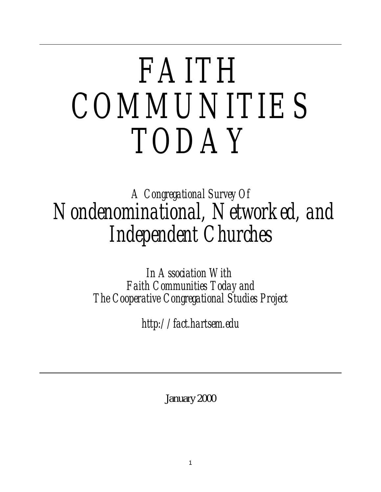# *FAITH COMMUNITIES TODAY*

# *A Congregational Survey Of Nondenominational, Networked, and Independent Churches*

*In Association With Faith Communities Today and The Cooperative Congregational Studies Project*

*http://fact.hartsem.edu*

January 2000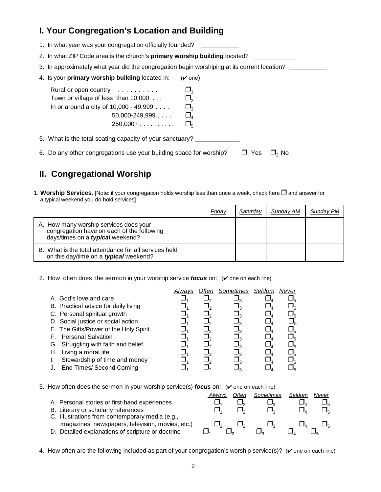# **I. Your Congregation's Location and Building**

- 1. In what year was your congregation officially founded?
- 2. In what ZIP Code area is the church's **primary worship building** located?\_\_\_\_\_\_\_\_\_\_\_\_
- 3. In approximately what year did the congregation begin worshiping at its current location? \_\_\_\_\_\_\_\_\_\_\_
- 4. Is your **primary worship building** located in:  $(\vee$  one)

| Rural or open country $\ldots \ldots \ldots$<br>Town or village of less than 10,000             |        |
|-------------------------------------------------------------------------------------------------|--------|
| In or around a city of $10,000 - 49,999$<br>$50,000-249,999$<br>$250,000+ \ldots \ldots \ldots$ | $\Box$ |
| 5. What is the total seating capacity of your sanctuary?                                        |        |

6. Do any other congregations use your building space for worship?  $\Box_1$  Yes  $\Box_2$  No

## **II. Congregational Worship**

1. Worship Services. [Note: if your congregation holds worship less than once a week, check here  $\Box$  and answer for a typical weekend you do hold services]

|                                                                                                                                 | Friday | Saturday | Sunday AM | Sunday PM |
|---------------------------------------------------------------------------------------------------------------------------------|--------|----------|-----------|-----------|
| A. How many worship services does your<br>congregation have on each of the following<br>days/times on a <i>typical</i> weekend? |        |          |           |           |
| B. What is the total attendance for all services held<br>on this day/time on a typical weekend?                                 |        |          |           |           |

2. How often does the sermon in your worship service *focus* on: ( $\vee$  one on each line)

|                                       | Alwavs | Often | Sometimes Seldom | Never |
|---------------------------------------|--------|-------|------------------|-------|
| A. God's love and care                |        |       |                  |       |
| B. Practical advice for daily living  |        |       |                  |       |
| C. Personal spiritual growth          |        |       |                  |       |
| D. Social justice or social action    |        |       |                  |       |
| E. The Gifts/Power of the Holy Spirit |        |       |                  |       |
| F. Personal Salvation                 |        |       |                  |       |
| G. Struggling with faith and belief   |        |       |                  |       |
| Living a moral life<br>Н.             |        |       |                  |       |
| Stewardship of time and money         |        |       |                  |       |
| <b>End Times/ Second Coming</b>       |        |       |                  |       |

3. How often does the sermon in your worship service(s) **focus** on: (**v** one on each line)

|                                                   | Alwavs | Often | Sometimes | Seldom | Never |
|---------------------------------------------------|--------|-------|-----------|--------|-------|
| A. Personal stories or first-hand experiences     |        |       |           |        |       |
| B. Literary or scholarly references               |        |       |           |        |       |
| C. Illustrations from contemporary media (e.g.,   |        |       |           |        |       |
| magazines, newspapers, television, movies, etc.)  |        |       |           |        |       |
| D. Detailed explanations of scripture or doctrine |        |       |           |        |       |

4. How often are the following included as part of your congregation's worship service(s)? ( $\vee$  one on each line)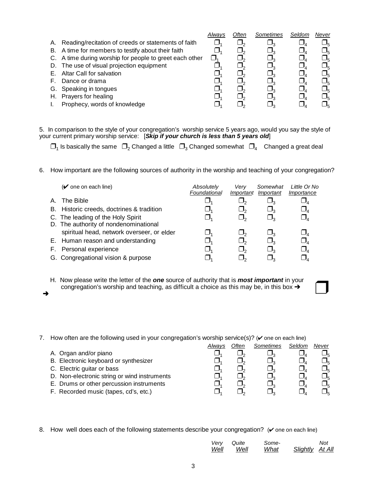|                              | Alwav                                                                                                                                                                                                                                          | Often | Sometimes | Seldom | Never          |
|------------------------------|------------------------------------------------------------------------------------------------------------------------------------------------------------------------------------------------------------------------------------------------|-------|-----------|--------|----------------|
|                              |                                                                                                                                                                                                                                                |       |           |        | ┚ҕ             |
|                              |                                                                                                                                                                                                                                                |       |           |        | ┚ҕ             |
|                              |                                                                                                                                                                                                                                                |       |           |        | ┚ҕ             |
|                              |                                                                                                                                                                                                                                                |       |           |        | ┚ҕ             |
| Altar Call for salvation     |                                                                                                                                                                                                                                                |       |           |        | ┚ҕ             |
| Dance or drama               |                                                                                                                                                                                                                                                |       |           |        | ⅃ᇊ             |
|                              |                                                                                                                                                                                                                                                |       |           |        | ┚ҕ             |
| Prayers for healing          |                                                                                                                                                                                                                                                |       |           |        | J <sub>հ</sub> |
| Prophecy, words of knowledge |                                                                                                                                                                                                                                                |       |           |        | ┚∊             |
|                              | A. Reading/recitation of creeds or statements of faith<br>B. A time for members to testify about their faith<br>C. A time during worship for people to greet each other<br>D. The use of visual projection equipment<br>G. Speaking in tongues |       |           |        |                |

5. In comparison to the style of your congregation's worship service 5 years ago, would you say the style of your current primary worship service: [*Skip if your church is less than 5 years old*]

 $\Box_1$  Is basically the same  $\Box_2$  Changed a little  $\Box_3$  Changed somewhat  $\Box_4$  Changed a great deal

6. How important are the following sources of authority in the worship and teaching of your congregation?

|    | $(V$ one on each line)                     | Absolutely<br>Foundational | Verv<br>Important | Somewhat<br>Important | Little Or No<br>Importance       |
|----|--------------------------------------------|----------------------------|-------------------|-----------------------|----------------------------------|
| A. | The Bible                                  |                            |                   |                       | $\sqcup_{\scriptscriptstyle{A}}$ |
|    | B. Historic creeds, doctrines & tradition  |                            |                   | $\Box$                | $\Box_{\scriptscriptstyle{4}}$   |
|    | C. The leading of the Holy Spirit          |                            |                   |                       | $\Box_{4}$                       |
|    | D. The authority of nondenominational      |                            |                   |                       |                                  |
|    | spiritual head, network overseer, or elder |                            |                   |                       | $\Box_{4}$                       |
|    | E. Human reason and understanding          |                            |                   |                       | $\Box_{\scriptscriptstyle{4}}$   |
|    | F. Personal experience                     |                            |                   |                       | $\Box_{\scriptscriptstyle{A}}$   |
|    | G. Congregational vision & purpose         |                            |                   |                       |                                  |

- H. Now please write the letter of the *one* source of authority that is *most important* in your congregation's worship and teaching, as difficult a choice as this may be, in this box  $\rightarrow$ H. Now please write the letter of the **one** source of authority that is **most important** in your congregation's worship and teaching, as difficult a choice as this may be, in this box  $\rightarrow$
- 7. How often are the following used in your congregation's worship service(s)? ( $\checkmark$  one on each line)

|                                              | Alwavs | Often | Sometimes | Seldom | Never |
|----------------------------------------------|--------|-------|-----------|--------|-------|
| A. Organ and/or piano                        |        |       |           |        |       |
| B. Electronic keyboard or synthesizer        |        |       |           |        | Jς    |
| C. Electric guitar or bass                   |        |       |           |        | Jς    |
| D. Non-electronic string or wind instruments |        |       |           |        |       |
| E. Drums or other percussion instruments     |        |       |           |        |       |
| F. Recorded music (tapes, cd's, etc.)        |        |       |           |        |       |

8. How well does each of the following statements describe your congregation?  $({\checkmark}$  one on each line)

| Verv | Quite | Some- |                 | Not |
|------|-------|-------|-----------------|-----|
| Well | Well  | What  | Slightly At All |     |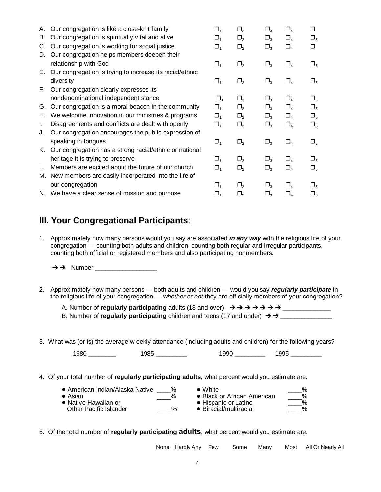|                                                          | $\Box_{\scriptscriptstyle{1}}$                                                                                                                                    | $\Box_2$      | $\square_3$                    | $\Box_{\scriptscriptstyle{A}}$ | ⊓               |
|----------------------------------------------------------|-------------------------------------------------------------------------------------------------------------------------------------------------------------------|---------------|--------------------------------|--------------------------------|-----------------|
| Our congregation is spiritually vital and alive          | $\Box_{\scriptscriptstyle{1}}$                                                                                                                                    | $\Box_2$      | $\square_3$                    | $\square_4$                    | $\Box_{5}$      |
| Our congregation is working for social justice           | $\Box_{\scriptscriptstyle{1}}$                                                                                                                                    | $\square_{2}$ | $\square_3$                    | $\Box_{\scriptscriptstyle{A}}$ | ⊓               |
| Our congregation helps members deepen their              |                                                                                                                                                                   |               |                                |                                |                 |
| relationship with God                                    | $\Box_1$                                                                                                                                                          | $\Box_2$      | $\square_3$                    | $\Box_4$                       | $\sqcup_{5}$    |
| Our congregation is trying to increase its racial/ethnic |                                                                                                                                                                   |               |                                |                                |                 |
| diversity                                                | $\Box_1$                                                                                                                                                          | $\square_{2}$ | $\Box_{\scriptscriptstyle{3}}$ | $\Box_{\scriptscriptstyle{A}}$ | $\square_{5}$   |
|                                                          |                                                                                                                                                                   |               |                                |                                |                 |
| nondenominational independent stance                     | $\Box_{1}$                                                                                                                                                        | $\Box$        | $\Box_{\mathtt{3}}$            | $\Box_{\scriptscriptstyle{A}}$ | $\square_{5}$   |
| Our congregation is a moral beacon in the community      | $\Box_{\scriptscriptstyle{1}}$                                                                                                                                    | $\Box$        | $\Box_3$                       | $\Box_{4}$                     | $\square_{5}$   |
| We welcome innovation in our ministries & programs       | $\Box_{\scriptscriptstyle{4}}$                                                                                                                                    | $\square_{2}$ | $\Box_3$                       | $\Box_{4}$                     | $\square_{5}$   |
| Disagreements and conflicts are dealt with openly        | $\Box_1$                                                                                                                                                          | $\square_{2}$ | $\Box_3$                       | $\square_4$                    | $\Box_{5}$      |
| Our congregation encourages the public expression of     |                                                                                                                                                                   |               |                                |                                |                 |
| speaking in tongues                                      | $\Box_{1}$                                                                                                                                                        | $\Box_2$      | $\square_3$                    | $\Box_4$                       | $\Box_{5}$      |
| Our congregation has a strong racial/ethnic or national  |                                                                                                                                                                   |               |                                |                                |                 |
| heritage it is trying to preserve                        | $\Box_1$                                                                                                                                                          | $\Box_2$      |                                | $\Box$                         | $\Box_5$        |
| Members are excited about the future of our church       | $\Box_{\scriptscriptstyle{1}}$                                                                                                                                    | $\Box_2$      | $\square_3$                    | $\Box_{\scriptscriptstyle{A}}$ | $\Box_{\kappa}$ |
| New members are easily incorporated into the life of     |                                                                                                                                                                   |               |                                |                                |                 |
| our congregation                                         | $\Box_4$                                                                                                                                                          | $\Box_2$      |                                |                                |                 |
|                                                          | $\mathsf{L}$                                                                                                                                                      | $\Box_2$      |                                |                                |                 |
|                                                          | A. Our congregation is like a close-knit family<br>Е.<br>F. Our congregation clearly expresses its<br>K.<br>M.<br>N. We have a clear sense of mission and purpose |               |                                |                                |                 |

#### **III. Your Congregational Participants**:

- 1. Approximately how many persons would you say are associated *in any way* with the religious life of your congregation — counting both adults and children, counting both regular and irregular participants, counting both official or registered members and also participating nonmembers.
	- $\rightarrow$   $\rightarrow$  Number
- 2. Approximately how many persons both adults and children would you say *regularly participate* in the religious life of your congregation — *whether or not* they are officially members of your congregation?

A. Number of **regularly participating** adults (18 and over) \_\_\_\_\_\_\_\_\_\_\_\_\_\_

| B. Number of regularly participating children and teens (17 and under) $\rightarrow \rightarrow$ |
|--------------------------------------------------------------------------------------------------|
|--------------------------------------------------------------------------------------------------|

3. What was (or is) the average w eekly attendance (including adults and children) for the following years?

| ו הש | ״ | м<br>. . | $\sim$ $\sim$ $\sim$ |
|------|---|----------|----------------------|
|      |   |          |                      |

4. Of your total number of **regularly participating adults**, what percent would you estimate are:

| ● American Indian/Alaska Native | % | $\bullet$ White:               | $\%$            |
|---------------------------------|---|--------------------------------|-----------------|
| $\bullet$ Asian                 | % | • Black or African American    | %               |
| • Native Hawaiian or            | % | • Hispanic or Latino           | $\%$            |
| <b>Other Pacific Islander</b>   |   | $\bullet$ Biracial/multiracial | $\mathcal{O}_k$ |

5. Of the total number of **regularly participating adults**, what percent would you estimate are:

| None Hardly Any Few | Some | Manv | Most All Or Nearly All |  |
|---------------------|------|------|------------------------|--|
|                     |      |      |                        |  |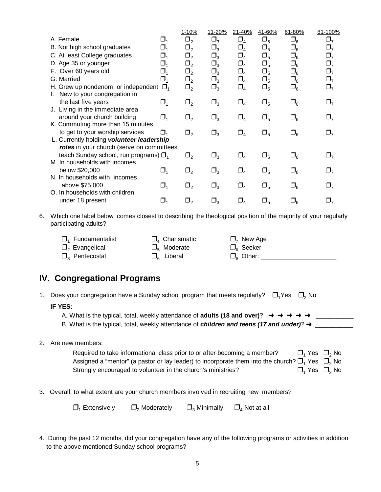|    |                                                                                                                                       |                                 | 1-10%    | 11-20%     | 21-40%                      | 41-60%   | 61-80%        | 81-100%             |
|----|---------------------------------------------------------------------------------------------------------------------------------------|---------------------------------|----------|------------|-----------------------------|----------|---------------|---------------------|
|    | A. Female                                                                                                                             | $\Box_1$                        | $\Box_2$ | $\Box_3$   | $\Box_4$                    | $\Box_5$ | $\square_6$   | $\Box$              |
|    | B. Not high school graduates                                                                                                          | $\Box_1$                        | $\Box_2$ | $\Box_3^-$ | $\Box_4$                    | $\Box_5$ | $\Box_6$      | $\Box_7$            |
|    | C. At least College graduates                                                                                                         | $\Box_1$                        | $\Box_2$ | $\Box_3$   | $\Box_4$                    | $\Box_5$ | $\Box_6$      | $\Box_7$            |
|    | D. Age 35 or younger                                                                                                                  | $\Box_1$                        | $\Box_2$ | $\Box_3$   | $\Box_4$                    | $\Box_5$ | $\Box_6$      | $\Box_7$            |
|    | F. Over 60 years old                                                                                                                  | $\Box_1$                        | $\Box_2$ | $\Box_3$   | $\Box_4$                    | $\Box_5$ | $\Box_6$      | $\Box_7$            |
|    | G. Married                                                                                                                            | $\Box_1$                        | $\Box_2$ | $\Box_3$   | $\Box_4$                    | $\Box_5$ | $\Box_6$      | $\Box_7$            |
|    | H. Grew up nondenom. or independent<br>New to your congregation in                                                                    | $\Box_{1}$                      | $\Box_2$ | $\Box_3$   | $\Box_4$                    | $\Box_5$ | $\Box_6$      | $\Box_7$            |
|    | the last five years<br>J. Living in the immediate area                                                                                | $\Box_1$                        | $\Box_2$ | $\Box_3$   | $\Box_4$                    | $\Box_5$ | $\Box_6$      | $\Box_7$            |
|    | around your church building                                                                                                           | $\Box_1$                        | $\Box_2$ | $\Box_3$   | $\Box_{4}$                  | $\Box_5$ | $\Box_6$      | $\Box$ <sub>7</sub> |
|    | K. Commuting more than 15 minutes<br>to get to your worship services                                                                  | $\Box$                          | $\Box_2$ | $\Box_3$   | $\Box_4$                    | $\Box_5$ | $\Box_6$      | $\Box_7$            |
|    | L. Currently holding volunteer leadership                                                                                             |                                 |          |            |                             |          |               |                     |
|    | roles in your church (serve on committees,                                                                                            |                                 |          |            |                             |          |               |                     |
|    | teach Sunday school, run programs) $\Box$ <sub>1</sub>                                                                                |                                 | $\Box_2$ | $\Box_3$   | $\Box_4$                    | $\Box_5$ | $\Box_6$      | $\Box_7$            |
|    | M. In households with incomes                                                                                                         |                                 |          |            |                             |          |               |                     |
|    | below \$20,000                                                                                                                        | $\Box_1$                        | $\Box_2$ | $\Box_3$   | $\Box_{4}$                  | $\Box_5$ | $\square_{6}$ | $\square_{7}$       |
|    | N. In households with incomes                                                                                                         |                                 |          |            |                             |          |               |                     |
|    | above \$75,000<br>O. In households with children                                                                                      | $\Box_1$                        | $\Box_2$ | $\Box_3$   | $\Box_{4}$                  | $\Box_5$ | $\Box_6$      | $\Box_7$            |
|    | under 18 present                                                                                                                      |                                 |          |            |                             |          |               |                     |
|    |                                                                                                                                       | $\Box_1$                        | $\Box_2$ | $\Box_3$   | $\Box_{4}$                  | $\Box_5$ | $\Box_6$      | $\square_{7}$       |
| 6. | Which one label below comes closest to describing the theological position of the majority of your regularly<br>participating adults? |                                 |          |            |                             |          |               |                     |
|    | Fundamentalist                                                                                                                        | $\Box$ <sub>4</sub> Charismatic |          |            | $\Box$ <sub>7</sub> New Age |          |               |                     |
|    |                                                                                                                                       |                                 |          |            |                             |          |               |                     |

| $\Box$ <sub>2</sub> Evangelical    | $\square_{5}$ Moderate     | $\square_{\rm s}$ Seeker |  |
|------------------------------------|----------------------------|--------------------------|--|
| $\square$ <sub>3</sub> Pentecostal | $\square_{\kappa}$ Liberal | $\Box_{\alpha}$ Other:   |  |

# **IV. Congregational Programs**

| Does your congregation have a Sunday school program that meets regularly?<br>$\square$ , No<br>⊟. Yes<br>1. |                                                                                                                                                                                                                                                                                                                                   |  |  |  |  |  |
|-------------------------------------------------------------------------------------------------------------|-----------------------------------------------------------------------------------------------------------------------------------------------------------------------------------------------------------------------------------------------------------------------------------------------------------------------------------|--|--|--|--|--|
|                                                                                                             | <b>IF YES:</b><br>A. What is the typical, total, weekly attendance of <b>adults (18 and over)</b> ? $\rightarrow \rightarrow \rightarrow \rightarrow \rightarrow$<br>B. What is the typical, total, weekly attendance of <i>children and teens (17 and under)</i> ? $\rightarrow$                                                 |  |  |  |  |  |
|                                                                                                             | Are new members:<br>$\Box$ Yes $\Box$ No<br>Required to take informational class prior to or after becoming a member?<br>Assigned a "mentor" (a pastor or lay leader) to incorporate them into the church? $\square_1$ Yes $\square_2$ No<br>$\Box$ Yes $\Box$ No<br>Strongly encouraged to volunteer in the church's ministries? |  |  |  |  |  |
|                                                                                                             | Overall, to what extent are your church members involved in recruiting new members?                                                                                                                                                                                                                                               |  |  |  |  |  |

| $\Box_1$ Extensively | $\Box$ <sub>2</sub> Moderately | $\Box$ <sub>3</sub> Minimally | $\Box$ <sub>4</sub> Not at all |
|----------------------|--------------------------------|-------------------------------|--------------------------------|
|----------------------|--------------------------------|-------------------------------|--------------------------------|

4. During the past 12 months, did your congregation have any of the following programs or activities in addition to the above mentioned Sunday school programs?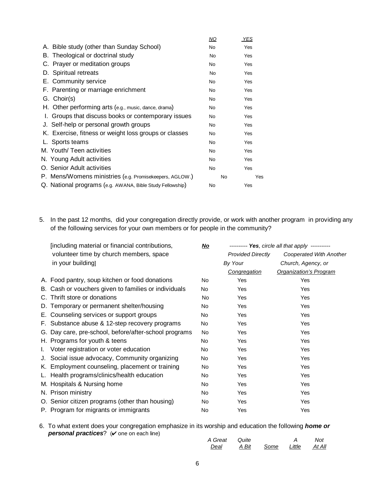|                                                           | ΝO | <b>YES</b> |
|-----------------------------------------------------------|----|------------|
| A. Bible study (other than Sunday School)                 | No | Yes        |
| B. Theological or doctrinal study                         | No | Yes        |
| C. Prayer or meditation groups                            | No | Yes        |
| D. Spiritual retreats                                     | No | Yes        |
| E. Community service                                      | No | Yes        |
| F. Parenting or marriage enrichment                       | No | Yes        |
| G. Choir(s)                                               | No | Yes        |
| H. Other performing arts (e.g., music, dance, drama)      | No | Yes        |
| I. Groups that discuss books or contemporary issues       | No | Yes        |
| J. Self-help or personal growth groups                    | No | Yes        |
| K. Exercise, fitness or weight loss groups or classes     | No | Yes        |
| L. Sports teams                                           | No | Yes        |
| M. Youth/ Teen activities                                 | No | Yes        |
| N. Young Adult activities                                 | No | Yes        |
| O. Senior Adult activities                                | No | Yes        |
| P. Mens/Womens ministries (e.g. Promisekeepers, AGLOW.)   | No | Yes        |
| Q. National programs (e.g. AWANA, Bible Study Fellowship) | No | Yes        |

5. In the past 12 months, did your congregation directly provide, or work with another program in providing any of the following services for your own members or for people in the community?

|    | [including material or financial contributions,       |     | --------- Yes, circle all that apply ----------- |                         |  |
|----|-------------------------------------------------------|-----|--------------------------------------------------|-------------------------|--|
|    | volunteer time by church members, space               |     | <b>Provided Directly</b>                         | Cooperated With Another |  |
|    | in your building]                                     |     | By Your                                          | Church, Agency, or      |  |
|    |                                                       |     | Congregation                                     | Organization's Program  |  |
|    | A. Food pantry, soup kitchen or food donations        | No  | Yes                                              | Yes                     |  |
|    | B. Cash or vouchers given to families or individuals  | No  | Yes                                              | <b>Yes</b>              |  |
|    | C. Thrift store or donations                          | No  | Yes                                              | Yes                     |  |
|    | D. Temporary or permanent shelter/housing             | No. | Yes                                              | <b>Yes</b>              |  |
|    | E. Counseling services or support groups              | No  | Yes                                              | Yes                     |  |
|    | F. Substance abuse & 12-step recovery programs        | No  | Yes                                              | Yes                     |  |
|    | G. Day care, pre-school, before/after-school programs | No. | Yes                                              | Yes                     |  |
|    | H. Programs for youth & teens                         | No  | Yes                                              | <b>Yes</b>              |  |
| L. | Voter registration or voter education                 | No  | Yes                                              | Yes                     |  |
|    | J. Social issue advocacy, Community organizing        | No  | Yes                                              | Yes                     |  |
|    | K. Employment counseling, placement or training       | No. | Yes                                              | <b>Yes</b>              |  |
|    | L. Health programs/clinics/health education           | No  | Yes                                              | <b>Yes</b>              |  |
|    | M. Hospitals & Nursing home                           | No. | Yes                                              | <b>Yes</b>              |  |
|    | N. Prison ministry                                    | No. | Yes                                              | Yes                     |  |
|    | O. Senior citizen programs (other than housing)       | No  | Yes                                              | Yes                     |  |
|    | P. Program for migrants or immigrants                 | No. | Yes                                              | Yes                     |  |

6. To what extent does your congregation emphasize in its worship and education the following *home or personal practices*? ( $\checkmark$  one on each line)

| A Great Quite |       |      |                                  | Not    |
|---------------|-------|------|----------------------------------|--------|
| Deal          | A Bit | Some | $\therefore$ Little $\therefore$ | At All |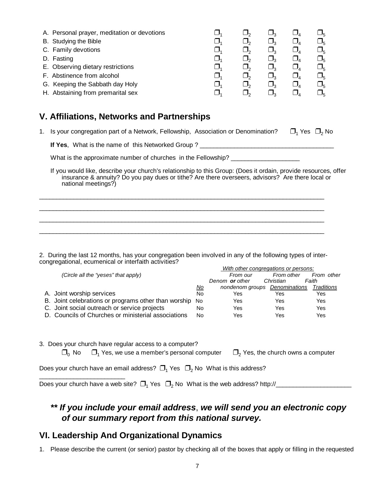|     |          |                                |                    | $J_{5}$ |
|-----|----------|--------------------------------|--------------------|---------|
|     |          |                                |                    | $J_{5}$ |
| U.  |          | $\Box$                         | $\Box$             | $J_{5}$ |
| ┚   |          | $\Box_2$                       |                    | $J_{5}$ |
| J.  |          | $\Box$                         | $\Box$             | $J_{5}$ |
| ىل  |          | $\Box_{\scriptscriptstyle{2}}$ | $\Box$             | $J_{5}$ |
| ، ل | $\Box$   | $\Box$                         | $\Box$             | ┚∊      |
| J.  |          | $\Box$                         |                    | Jr.     |
|     | J.<br>J, |                                | $\Box_2$<br>$\Box$ |         |

#### **V. Affiliations, Networks and Partnerships**

1. Is your congregation part of a Network, Fellowship, Association or Denomination?  $\Box_1$  Yes  $\Box_2$  No

**If Yes**, What is the name of this Networked Group ? \_\_\_\_\_\_\_\_\_\_\_\_\_\_\_\_\_\_\_\_\_\_\_\_\_\_\_\_\_\_\_\_\_\_\_\_\_\_\_

What is the approximate number of churches in the Fellowship? \_\_\_\_\_\_\_\_\_\_\_\_\_\_\_\_\_\_

If you would like, describe your church's relationship to this Group: (Does it ordain, provide resources, offer insurance & annuity? Do you pay dues or tithe? Are there overseers, advisors? Are there local or national meetings?)

2. During the last 12 months, has your congregation been involved in any of the following types of intercongregational, ecumenical or interfaith activities?

 $\_$  , and the state of the state of the state of the state of the state of the state of the state of the state of the state of the state of the state of the state of the state of the state of the state of the state of the  $\_$  , and the state of the state of the state of the state of the state of the state of the state of the state of the state of the state of the state of the state of the state of the state of the state of the state of the  $\_$  , and the state of the state of the state of the state of the state of the state of the state of the state of the state of the state of the state of the state of the state of the state of the state of the state of the \_\_\_\_\_\_\_\_\_\_\_\_\_\_\_\_\_\_\_\_\_\_\_\_\_\_\_\_\_\_\_\_\_\_\_\_\_\_\_\_\_\_\_\_\_\_\_\_\_\_\_\_\_\_\_\_\_\_\_\_\_\_\_\_\_\_\_\_\_\_\_\_\_\_\_\_\_\_\_\_\_\_\_

|                                                      |           | With other congregations or persons: |            |            |
|------------------------------------------------------|-----------|--------------------------------------|------------|------------|
| (Circle all the "yeses" that apply)                  |           | From our                             | From other | From other |
|                                                      |           | Denom or other                       | Christian  | Faith      |
|                                                      | <u>No</u> | nondenom groups Denominations        |            | Traditions |
| A. Joint worship services                            | No        | Yes                                  | Yes        | Yes        |
| B. Joint celebrations or programs other than worship | No.       | Yes                                  | Yes        | Yes        |
| C. Joint social outreach or service projects         | No        | Yes                                  | Yes        | Yes        |
| D. Councils of Churches or ministerial associations  | No        | Yes                                  | Yes        | Yes        |

3. Does your church have regular access to a computer?

\_\_\_\_\_\_\_\_\_\_\_\_\_\_\_\_\_\_\_\_\_\_\_\_\_

 $\Box_0$  No  $\Box_1$  Yes, we use a member's personal computer  $\Box_2$  Yes, the church owns a computer

Does your church have an email address?  $\Box_1$  Yes  $\Box_2$  No What is this address?

Does your church have a web site? 1 2 Yes No What is the web address? http://\_\_\_\_\_\_\_\_\_\_\_\_\_\_\_\_\_\_\_\_\_\_

## *\*\* If you include your email address*, *we will send you an electronic copy of our summary report from this national survey.*

#### **VI. Leadership And Organizational Dynamics**

1. Please describe the current (or senior) pastor by checking all of the boxes that apply or filling in the requested